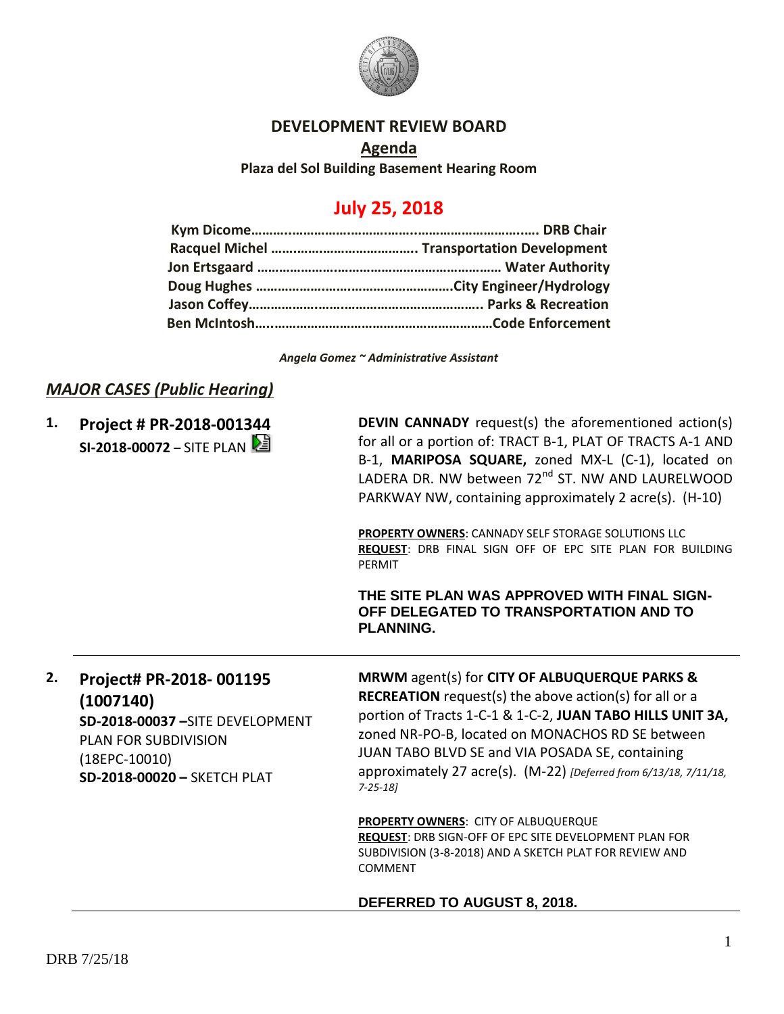

## **DEVELOPMENT REVIEW BOARD**

**Agenda Plaza del Sol Building Basement Hearing Room**

# **July 25, 2018**

*Angela Gomez ~ Administrative Assistant*

# *MAJOR CASES (Public Hearing)*

**1. Project # PR-2018-001344 SI-2018-00072** – SITE PLAN **DEVIN CANNADY** request(s) the aforementioned action(s) for all or a portion of: TRACT B-1, PLAT OF TRACTS A-1 AND B-1, **MARIPOSA SQUARE,** zoned MX-L (C-1), located on LADERA DR. NW between 72<sup>nd</sup> ST. NW AND LAURELWOOD PARKWAY NW, containing approximately 2 acre(s). (H-10)

**PROPERTY OWNERS**: CANNADY SELF STORAGE SOLUTIONS LLC **REQUEST**: DRB FINAL SIGN OFF OF EPC SITE PLAN FOR BUILDING PERMIT

**THE SITE PLAN WAS APPROVED WITH FINAL SIGN-OFF DELEGATED TO TRANSPORTATION AND TO PLANNING.**

**2. Project# PR-2018- 001195 (1007140) SD-2018-00037 –**SITE DEVELOPMENT PLAN FOR SUBDIVISION (18EPC-10010) **SD-2018-00020 –** SKETCH PLAT

**MRWM** agent(s) for **CITY OF ALBUQUERQUE PARKS & RECREATION** request(s) the above action(s) for all or a portion of Tracts 1-C-1 & 1-C-2, **JUAN TABO HILLS UNIT 3A,**  zoned NR-PO-B, located on MONACHOS RD SE between JUAN TABO BLVD SE and VIA POSADA SE, containing approximately 27 acre(s). (M-22) *[Deferred from 6/13/18, 7/11/18, 7-25-18]*

**PROPERTY OWNERS**: CITY OF ALBUQUERQUE **REQUEST**: DRB SIGN-OFF OF EPC SITE DEVELOPMENT PLAN FOR SUBDIVISION (3-8-2018) AND A SKETCH PLAT FOR REVIEW AND COMMENT

### **DEFERRED TO AUGUST 8, 2018.**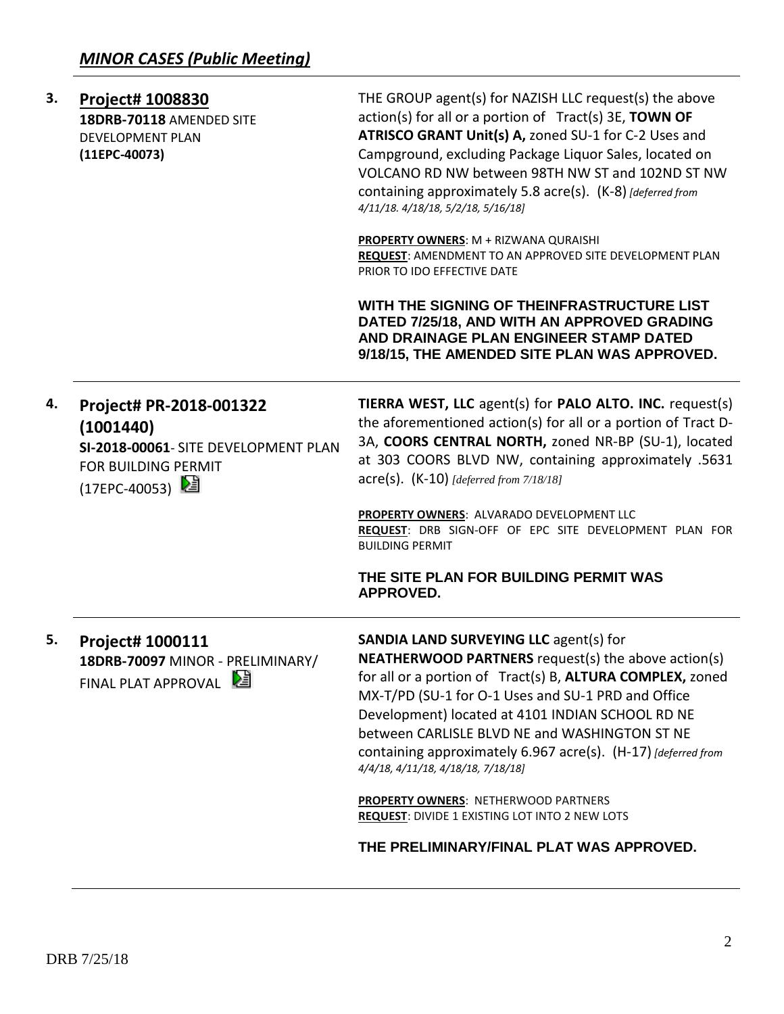| 3. | <b>Project# 1008830</b><br>18DRB-70118 AMENDED SITE<br><b>DEVELOPMENT PLAN</b><br>$(11EPC-40073)$                    | THE GROUP agent(s) for NAZISH LLC request(s) the above<br>action(s) for all or a portion of Tract(s) 3E, TOWN OF<br>ATRISCO GRANT Unit(s) A, zoned SU-1 for C-2 Uses and<br>Campground, excluding Package Liquor Sales, located on<br>VOLCANO RD NW between 98TH NW ST and 102ND ST NW<br>containing approximately 5.8 acre(s). (K-8) [deferred from<br>4/11/18. 4/18/18, 5/2/18, 5/16/18]                                                 |
|----|----------------------------------------------------------------------------------------------------------------------|--------------------------------------------------------------------------------------------------------------------------------------------------------------------------------------------------------------------------------------------------------------------------------------------------------------------------------------------------------------------------------------------------------------------------------------------|
|    |                                                                                                                      | PROPERTY OWNERS: M + RIZWANA QURAISHI<br>REQUEST: AMENDMENT TO AN APPROVED SITE DEVELOPMENT PLAN<br>PRIOR TO IDO EFFECTIVE DATE                                                                                                                                                                                                                                                                                                            |
|    |                                                                                                                      | WITH THE SIGNING OF THEINFRASTRUCTURE LIST<br>DATED 7/25/18, AND WITH AN APPROVED GRADING<br>AND DRAINAGE PLAN ENGINEER STAMP DATED<br>9/18/15, THE AMENDED SITE PLAN WAS APPROVED.                                                                                                                                                                                                                                                        |
| 4. | Project# PR-2018-001322<br>(1001440)<br>SI-2018-00061- SITE DEVELOPMENT PLAN<br>FOR BUILDING PERMIT<br>(17EPC-40053) | TIERRA WEST, LLC agent(s) for PALO ALTO. INC. request(s)<br>the aforementioned action(s) for all or a portion of Tract D-<br>3A, COORS CENTRAL NORTH, zoned NR-BP (SU-1), located<br>at 303 COORS BLVD NW, containing approximately .5631<br>acre(s). (K-10) [deferred from 7/18/18]                                                                                                                                                       |
|    |                                                                                                                      | PROPERTY OWNERS: ALVARADO DEVELOPMENT LLC<br>REQUEST: DRB SIGN-OFF OF EPC SITE DEVELOPMENT PLAN FOR<br><b>BUILDING PERMIT</b>                                                                                                                                                                                                                                                                                                              |
|    |                                                                                                                      | THE SITE PLAN FOR BUILDING PERMIT WAS<br><b>APPROVED.</b>                                                                                                                                                                                                                                                                                                                                                                                  |
| 5. | <b>Project# 1000111</b><br>18DRB-70097 MINOR - PRELIMINARY/<br>FINAL PLAT APPROVAL                                   | <b>SANDIA LAND SURVEYING LLC agent(s) for</b><br><b>NEATHERWOOD PARTNERS</b> request(s) the above action(s)<br>for all or a portion of Tract(s) B, ALTURA COMPLEX, zoned<br>MX-T/PD (SU-1 for O-1 Uses and SU-1 PRD and Office<br>Development) located at 4101 INDIAN SCHOOL RD NE<br>between CARLISLE BLVD NE and WASHINGTON ST NE<br>containing approximately 6.967 acre(s). (H-17) [deferred from<br>4/4/18, 4/11/18, 4/18/18, 7/18/18] |
|    |                                                                                                                      | PROPERTY OWNERS: NETHERWOOD PARTNERS<br>REQUEST: DIVIDE 1 EXISTING LOT INTO 2 NEW LOTS                                                                                                                                                                                                                                                                                                                                                     |
|    |                                                                                                                      | THE PRELIMINARY/FINAL PLAT WAS APPROVED.                                                                                                                                                                                                                                                                                                                                                                                                   |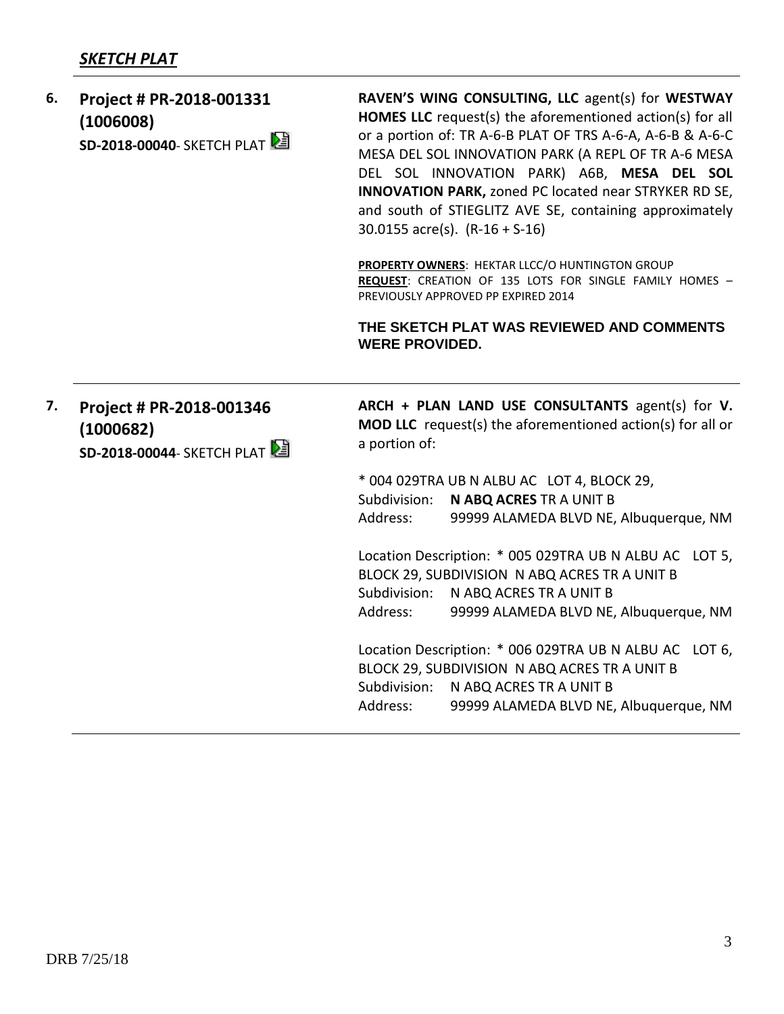# *SKETCH PLAT*

| 6. | Project # PR-2018-001331<br>(1006008)<br>SD-2018-00040- SKETCH PLAT | RAVEN'S WING CONSULTING, LLC agent(s) for WESTWAY<br><b>HOMES LLC</b> request(s) the aforementioned action(s) for all<br>or a portion of: TR A-6-B PLAT OF TRS A-6-A, A-6-B & A-6-C<br>MESA DEL SOL INNOVATION PARK (A REPL OF TR A-6 MESA<br>DEL SOL INNOVATION PARK) A6B, MESA DEL SOL<br><b>INNOVATION PARK, zoned PC located near STRYKER RD SE,</b><br>and south of STIEGLITZ AVE SE, containing approximately<br>30.0155 $\arccos( s)$ . (R-16 + S-16)<br>PROPERTY OWNERS: HEKTAR LLCC/O HUNTINGTON GROUP<br>REQUEST: CREATION OF 135 LOTS FOR SINGLE FAMILY HOMES -<br>PREVIOUSLY APPROVED PP EXPIRED 2014<br>THE SKETCH PLAT WAS REVIEWED AND COMMENTS<br><b>WERE PROVIDED.</b> |
|----|---------------------------------------------------------------------|-----------------------------------------------------------------------------------------------------------------------------------------------------------------------------------------------------------------------------------------------------------------------------------------------------------------------------------------------------------------------------------------------------------------------------------------------------------------------------------------------------------------------------------------------------------------------------------------------------------------------------------------------------------------------------------------|
| 7. | Project # PR-2018-001346<br>(1000682)<br>SD-2018-00044- SKETCH PLAT | ARCH + PLAN LAND USE CONSULTANTS agent(s) for V.<br>MOD LLC request(s) the aforementioned action(s) for all or<br>a portion of:                                                                                                                                                                                                                                                                                                                                                                                                                                                                                                                                                         |
|    |                                                                     | * 004 029TRA UB N ALBU AC LOT 4, BLOCK 29,<br>Subdivision:<br>N ABQ ACRES TR A UNIT B                                                                                                                                                                                                                                                                                                                                                                                                                                                                                                                                                                                                   |
|    |                                                                     | Address:<br>99999 ALAMEDA BLVD NE, Albuquerque, NM                                                                                                                                                                                                                                                                                                                                                                                                                                                                                                                                                                                                                                      |
|    |                                                                     | Location Description: * 005 029TRA UB N ALBU AC LOT 5,<br>BLOCK 29, SUBDIVISION N ABQ ACRES TR A UNIT B<br>Subdivision: N ABQ ACRES TR A UNIT B<br>Address:<br>99999 ALAMEDA BLVD NE, Albuquerque, NM                                                                                                                                                                                                                                                                                                                                                                                                                                                                                   |
|    |                                                                     | Location Description: * 006 029TRA UB N ALBU AC LOT 6,<br>BLOCK 29, SUBDIVISION N ABQ ACRES TR A UNIT B<br>Subdivision: N ABQ ACRES TR A UNIT B<br>99999 ALAMEDA BLVD NE, Albuquerque, NM<br>Address:                                                                                                                                                                                                                                                                                                                                                                                                                                                                                   |